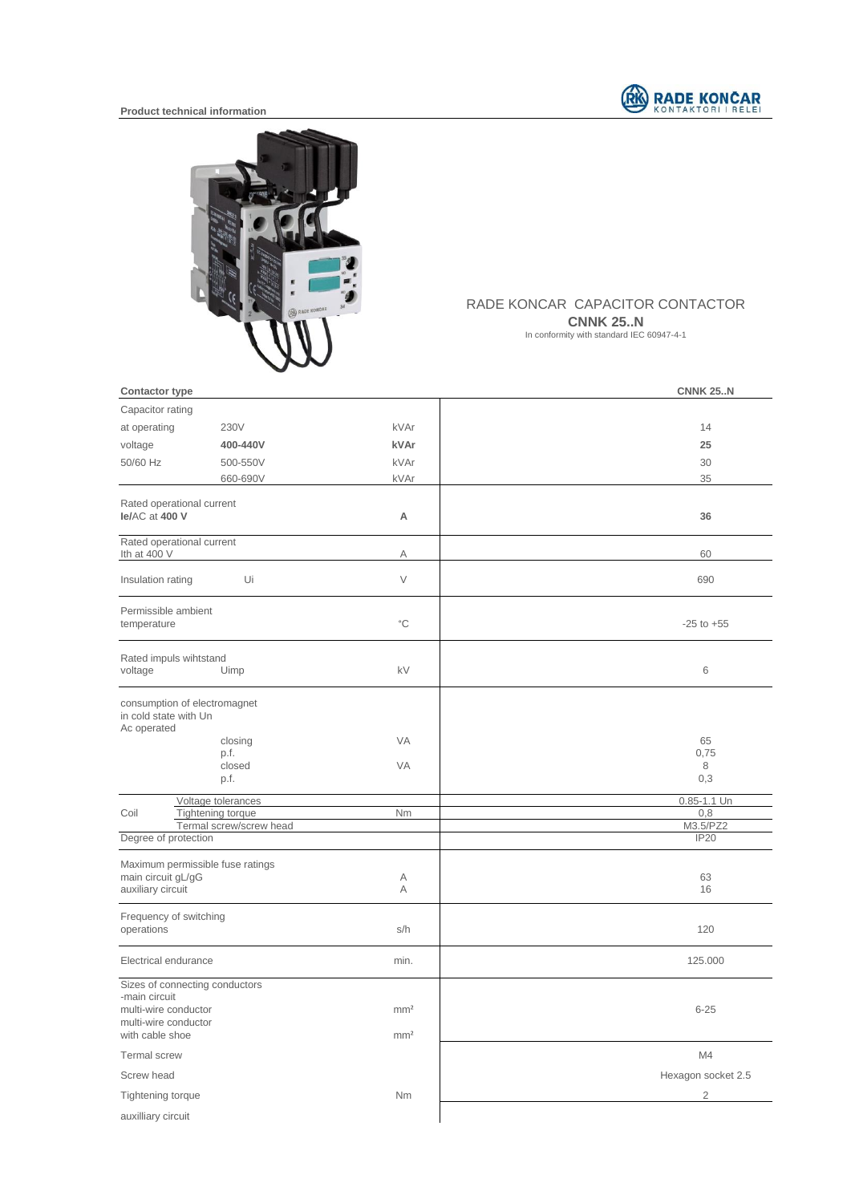

## **Product technical information**



## RADE KONCAR CAPACITOR CONTACTOR **CNNK 25..N**

In conformity with standard IEC 60947-4-1

| <b>Contactor type</b>                                                                                              |                                    | <b>CNNK 25N</b>    |
|--------------------------------------------------------------------------------------------------------------------|------------------------------------|--------------------|
| Capacitor rating                                                                                                   |                                    |                    |
| at operating<br>230V                                                                                               | kVAr                               | 14                 |
| voltage<br>400-440V                                                                                                | kVAr                               | 25                 |
| 50/60 Hz<br>500-550V                                                                                               | kVAr                               | 30                 |
| 660-690V                                                                                                           | kVAr                               | 35                 |
| Rated operational current<br>le/AC at 400 V                                                                        | A                                  | 36                 |
| Rated operational current<br>Ith at 400 V                                                                          | Α                                  | 60                 |
| Insulation rating<br>Ui                                                                                            | $\vee$                             | 690                |
| Permissible ambient<br>temperature                                                                                 | $^{\circ}{\rm C}$                  | $-25$ to $+55$     |
| Rated impuls wihtstand<br>voltage<br>Uimp                                                                          | kV                                 | $\,6$              |
| consumption of electromagnet<br>in cold state with Un<br>Ac operated<br>closing<br>p.f.                            | <b>VA</b>                          | 65<br>0,75         |
| closed<br>p.f.                                                                                                     | <b>VA</b>                          | 8<br>0,3           |
| Voltage tolerances                                                                                                 |                                    | 0.85-1.1 Un        |
| Tightening torque<br>Coil<br>Termal screw/screw head                                                               | Nm                                 | 0,8<br>M3.5/PZ2    |
| Degree of protection                                                                                               |                                    | <b>IP20</b>        |
| Maximum permissible fuse ratings<br>main circuit gL/gG<br>auxiliary circuit                                        | Α<br>Α                             | 63<br>16           |
| Frequency of switching<br>operations                                                                               | s/h                                | 120                |
| Electrical endurance                                                                                               | min.                               | 125.000            |
| Sizes of connecting conductors<br>-main circuit<br>multi-wire conductor<br>multi-wire conductor<br>with cable shoe | mm <sup>2</sup><br>mm <sup>2</sup> | $6 - 25$           |
| <b>Termal</b> screw                                                                                                |                                    | M4                 |
| Screw head                                                                                                         |                                    | Hexagon socket 2.5 |
| Tightening torque                                                                                                  | Nm                                 | $\overline{2}$     |
| auxilliary circuit                                                                                                 |                                    |                    |